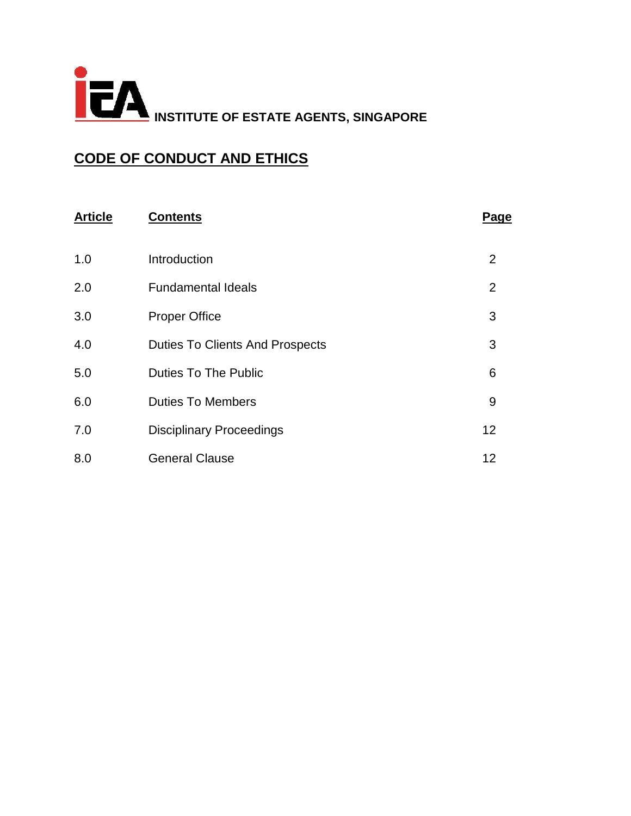

# **CODE OF CONDUCT AND ETHICS**

| <b>Article</b> | <b>Contents</b>                        | Page           |
|----------------|----------------------------------------|----------------|
| 1.0            | Introduction                           | 2              |
| 2.0            | <b>Fundamental Ideals</b>              | $\overline{2}$ |
| 3.0            | <b>Proper Office</b>                   | 3              |
| 4.0            | <b>Duties To Clients And Prospects</b> | 3              |
| 5.0            | <b>Duties To The Public</b>            | 6              |
| 6.0            | <b>Duties To Members</b>               | 9              |
| 7.0            | <b>Disciplinary Proceedings</b>        | 12             |
| 8.0            | <b>General Clause</b>                  | 12             |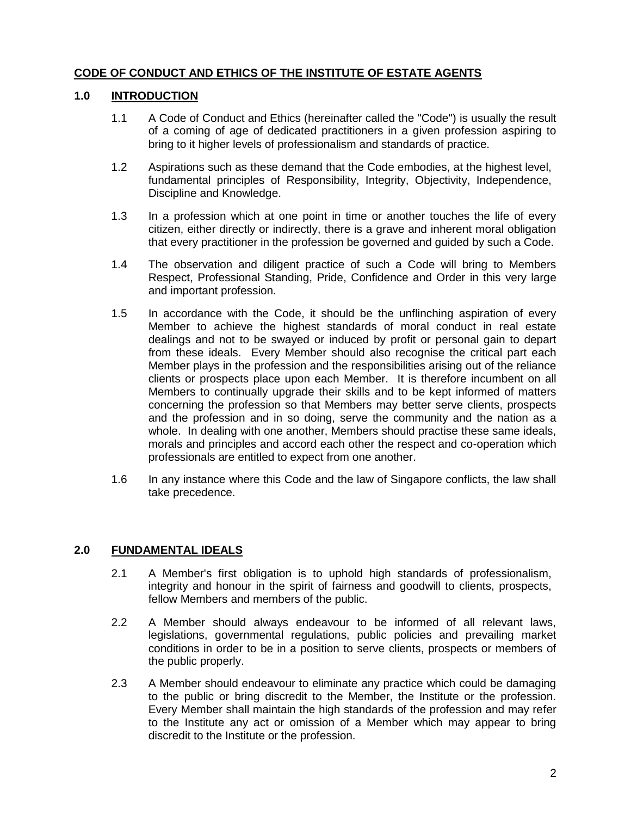# **CODE OF CONDUCT AND ETHICS OF THE INSTITUTE OF ESTATE AGENTS**

# **1.0 INTRODUCTION**

- 1.1 A Code of Conduct and Ethics (hereinafter called the "Code") is usually the result of a coming of age of dedicated practitioners in a given profession aspiring to bring to it higher levels of professionalism and standards of practice.
- 1.2 Aspirations such as these demand that the Code embodies, at the highest level, fundamental principles of Responsibility, Integrity, Objectivity, Independence, Discipline and Knowledge.
- 1.3 In a profession which at one point in time or another touches the life of every citizen, either directly or indirectly, there is a grave and inherent moral obligation that every practitioner in the profession be governed and guided by such a Code.
- 1.4 The observation and diligent practice of such a Code will bring to Members Respect, Professional Standing, Pride, Confidence and Order in this very large and important profession.
- 1.5 In accordance with the Code, it should be the unflinching aspiration of every Member to achieve the highest standards of moral conduct in real estate dealings and not to be swayed or induced by profit or personal gain to depart from these ideals. Every Member should also recognise the critical part each Member plays in the profession and the responsibilities arising out of the reliance clients or prospects place upon each Member. It is therefore incumbent on all Members to continually upgrade their skills and to be kept informed of matters concerning the profession so that Members may better serve clients, prospects and the profession and in so doing, serve the community and the nation as a whole. In dealing with one another, Members should practise these same ideals, morals and principles and accord each other the respect and co-operation which professionals are entitled to expect from one another.
- 1.6 In any instance where this Code and the law of Singapore conflicts, the law shall take precedence.

# **2.0 FUNDAMENTAL IDEALS**

- 2.1 A Member's first obligation is to uphold high standards of professionalism, integrity and honour in the spirit of fairness and goodwill to clients, prospects, fellow Members and members of the public.
- 2.2 A Member should always endeavour to be informed of all relevant laws, legislations, governmental regulations, public policies and prevailing market conditions in order to be in a position to serve clients, prospects or members of the public properly.
- 2.3 A Member should endeavour to eliminate any practice which could be damaging to the public or bring discredit to the Member, the Institute or the profession. Every Member shall maintain the high standards of the profession and may refer to the Institute any act or omission of a Member which may appear to bring discredit to the Institute or the profession.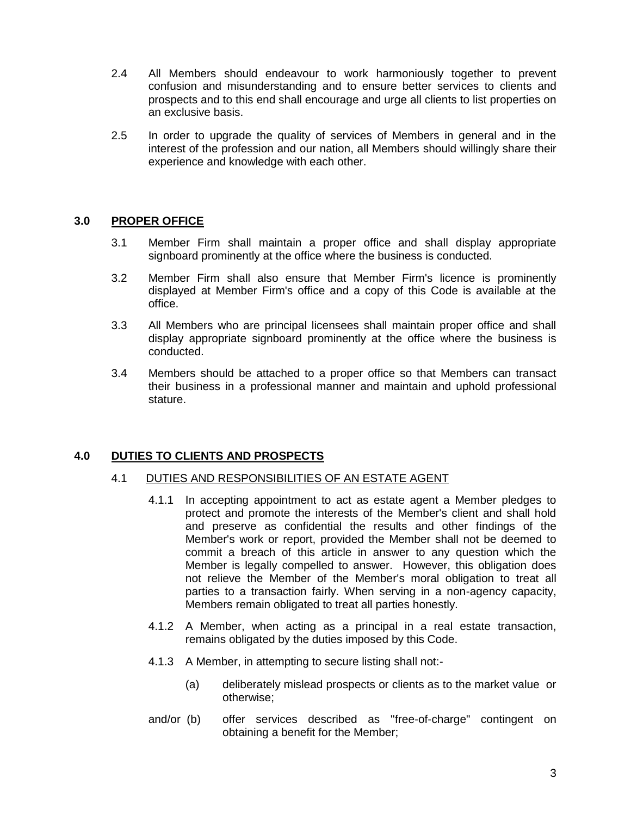- 2.4 All Members should endeavour to work harmoniously together to prevent confusion and misunderstanding and to ensure better services to clients and prospects and to this end shall encourage and urge all clients to list properties on an exclusive basis.
- 2.5 In order to upgrade the quality of services of Members in general and in the interest of the profession and our nation, all Members should willingly share their experience and knowledge with each other.

# **3.0 PROPER OFFICE**

- 3.1 Member Firm shall maintain a proper office and shall display appropriate signboard prominently at the office where the business is conducted.
- 3.2 Member Firm shall also ensure that Member Firm's licence is prominently displayed at Member Firm's office and a copy of this Code is available at the office.
- 3.3 All Members who are principal licensees shall maintain proper office and shall display appropriate signboard prominently at the office where the business is conducted.
- 3.4 Members should be attached to a proper office so that Members can transact their business in a professional manner and maintain and uphold professional stature.

# **4.0 DUTIES TO CLIENTS AND PROSPECTS**

- 4.1 DUTIES AND RESPONSIBILITIES OF AN ESTATE AGENT
	- 4.1.1 In accepting appointment to act as estate agent a Member pledges to protect and promote the interests of the Member's client and shall hold and preserve as confidential the results and other findings of the Member's work or report, provided the Member shall not be deemed to commit a breach of this article in answer to any question which the Member is legally compelled to answer. However, this obligation does not relieve the Member of the Member's moral obligation to treat all parties to a transaction fairly. When serving in a non-agency capacity, Members remain obligated to treat all parties honestly.
	- 4.1.2 A Member, when acting as a principal in a real estate transaction, remains obligated by the duties imposed by this Code.
	- 4.1.3 A Member, in attempting to secure listing shall not:-
		- (a) deliberately mislead prospects or clients as to the market value or otherwise;
	- and/or (b) offer services described as ''free-of-charge" contingent on obtaining a benefit for the Member;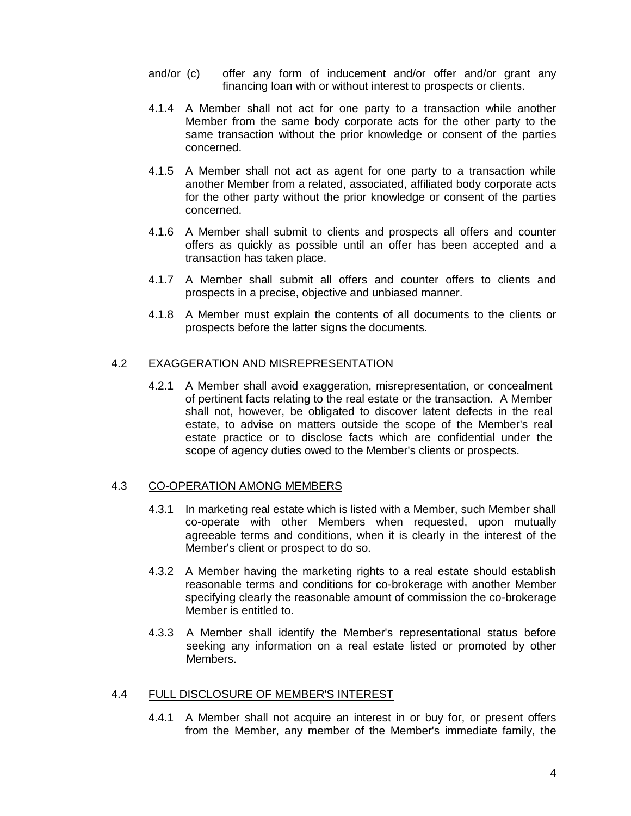- and/or (c) offer any form of inducement and/or offer and/or grant any financing loan with or without interest to prospects or clients.
- 4.1.4 A Member shall not act for one party to a transaction while another Member from the same body corporate acts for the other party to the same transaction without the prior knowledge or consent of the parties concerned.
- 4.1.5 A Member shall not act as agent for one party to a transaction while another Member from a related, associated, affiliated body corporate acts for the other party without the prior knowledge or consent of the parties concerned.
- 4.1.6 A Member shall submit to clients and prospects all offers and counter offers as quickly as possible until an offer has been accepted and a transaction has taken place.
- 4.1.7 A Member shall submit all offers and counter offers to clients and prospects in a precise, objective and unbiased manner.
- 4.1.8 A Member must explain the contents of all documents to the clients or prospects before the latter signs the documents.

# 4.2 EXAGGERATION AND MISREPRESENTATION

4.2.1 A Member shall avoid exaggeration, misrepresentation, or concealment of pertinent facts relating to the real estate or the transaction. A Member shall not, however, be obligated to discover latent defects in the real estate, to advise on matters outside the scope of the Member's real estate practice or to disclose facts which are confidential under the scope of agency duties owed to the Member's clients or prospects.

### 4.3 CO-OPERATION AMONG MEMBERS

- 4.3.1 In marketing real estate which is listed with a Member, such Member shall co-operate with other Members when requested, upon mutually agreeable terms and conditions, when it is clearly in the interest of the Member's client or prospect to do so.
- 4.3.2 A Member having the marketing rights to a real estate should establish reasonable terms and conditions for co-brokerage with another Member specifying clearly the reasonable amount of commission the co-brokerage Member is entitled to.
- 4.3.3 A Member shall identify the Member's representational status before seeking any information on a real estate listed or promoted by other Members.

### 4.4 FULL DISCLOSURE OF MEMBER'S INTEREST

4.4.1 A Member shall not acquire an interest in or buy for, or present offers from the Member, any member of the Member's immediate family, the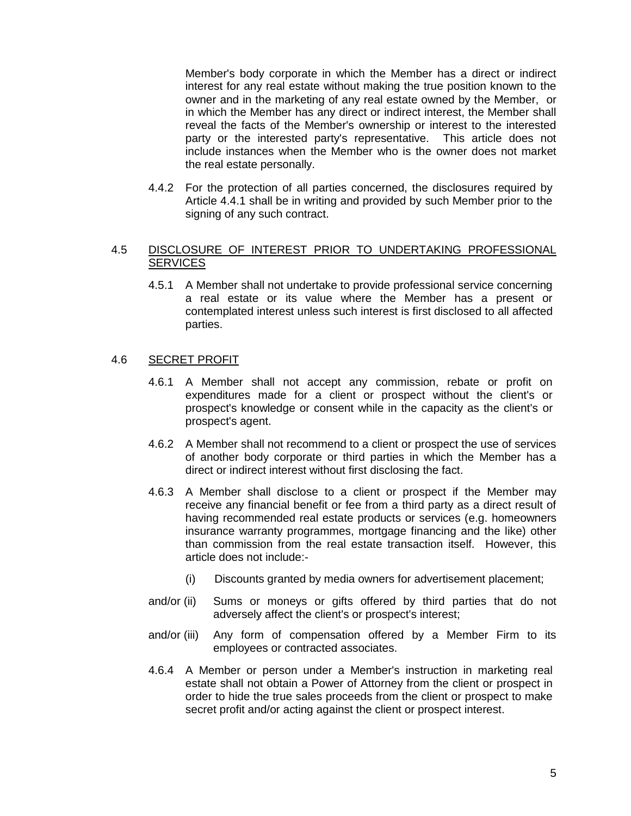Member's body corporate in which the Member has a direct or indirect interest for any real estate without making the true position known to the owner and in the marketing of any real estate owned by the Member, or in which the Member has any direct or indirect interest, the Member shall reveal the facts of the Member's ownership or interest to the interested party or the interested party's representative. This article does not include instances when the Member who is the owner does not market the real estate personally.

4.4.2 For the protection of all parties concerned, the disclosures required by Article 4.4.1 shall be in writing and provided by such Member prior to the signing of any such contract.

# 4.5 DISCLOSURE OF INTEREST PRIOR TO UNDERTAKING PROFESSIONAL **SERVICES**

4.5.1 A Member shall not undertake to provide professional service concerning a real estate or its value where the Member has a present or contemplated interest unless such interest is first disclosed to all affected parties.

### 4.6 SECRET PROFIT

- 4.6.1 A Member shall not accept any commission, rebate or profit on expenditures made for a client or prospect without the client's or prospect's knowledge or consent while in the capacity as the client's or prospect's agent.
- 4.6.2 A Member shall not recommend to a client or prospect the use of services of another body corporate or third parties in which the Member has a direct or indirect interest without first disclosing the fact.
- 4.6.3 A Member shall disclose to a client or prospect if the Member may receive any financial benefit or fee from a third party as a direct result of having recommended real estate products or services (e.g. homeowners insurance warranty programmes, mortgage financing and the like) other than commission from the real estate transaction itself. However, this article does not include:-
	- (i) Discounts granted by media owners for advertisement placement;
- and/or (ii) Sums or moneys or gifts offered by third parties that do not adversely affect the client's or prospect's interest;
- and/or (iii) Any form of compensation offered by a Member Firm to its employees or contracted associates.
- 4.6.4 A Member or person under a Member's instruction in marketing real estate shall not obtain a Power of Attorney from the client or prospect in order to hide the true sales proceeds from the client or prospect to make secret profit and/or acting against the client or prospect interest.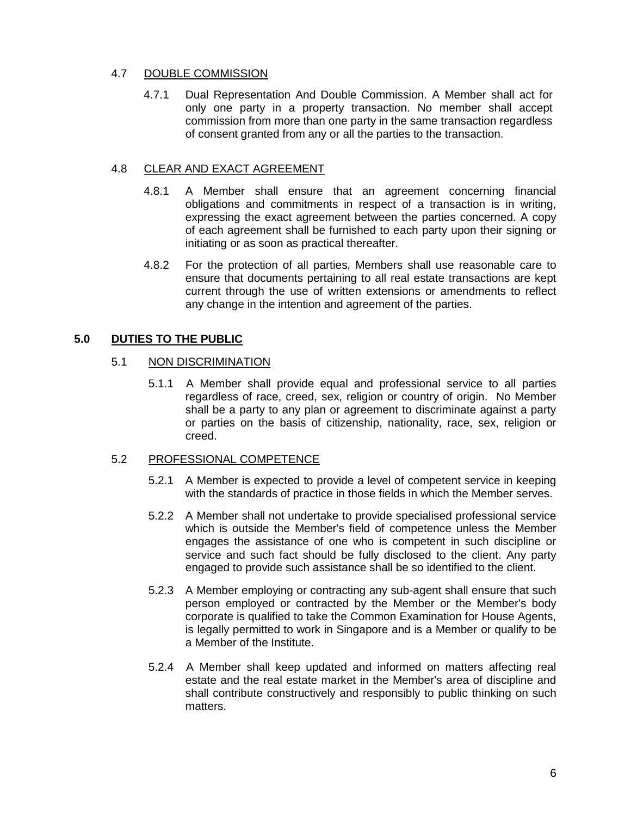# 4.7 DOUBLE COMMISSION

4.7.1 Dual Representation And Double Commission. A Member shall act for only one party in a property transaction. No member shall accept commission from more than one party in the same transaction regardless of consent granted from any or all the parties to the transaction.

# 4.8 CLEAR AND EXACT AGREEMENT

- 4.8.1 A Member shall ensure that an agreement concerning financial obligations and commitments in respect of a transaction is in writing, expressing the exact agreement between the parties concerned. A copy of each agreement shall be furnished to each party upon their signing or initiating or as soon as practical thereafter.
- 4.8.2 For the protection of all parties, Members shall use reasonable care to ensure that documents pertaining to all real estate transactions are kept current through the use of written extensions or amendments to reflect any change in the intention and agreement of the parties.

# **5.0 DUTIES TO THE PUBLIC**

# 5.1 NON DISCRIMINATION

5.1.1 A Member shall provide equal and professional service to all parties regardless of race, creed, sex, religion or country of origin. No Member shall be a party to any plan or agreement to discriminate against a party or parties on the basis of citizenship, nationality, race, sex, religion or creed.

# 5.2 PROFESSIONAL COMPETENCE

- 5.2.1 A Member is expected to provide a level of competent service in keeping with the standards of practice in those fields in which the Member serves.
- 5.2.2 A Member shall not undertake to provide specialised professional service which is outside the Member's field of competence unless the Member engages the assistance of one who is competent in such discipline or service and such fact should be fully disclosed to the client. Any party engaged to provide such assistance shall be so identified to the client.
- 5.2.3 A Member employing or contracting any sub-agent shall ensure that such person employed or contracted by the Member or the Member's body corporate is qualified to take the Common Examination for House Agents, is legally permitted to work in Singapore and is a Member or qualify to be a Member of the Institute.
- 5.2.4 A Member shall keep updated and informed on matters affecting real estate and the real estate market in the Member's area of discipline and shall contribute constructively and responsibly to public thinking on such matters.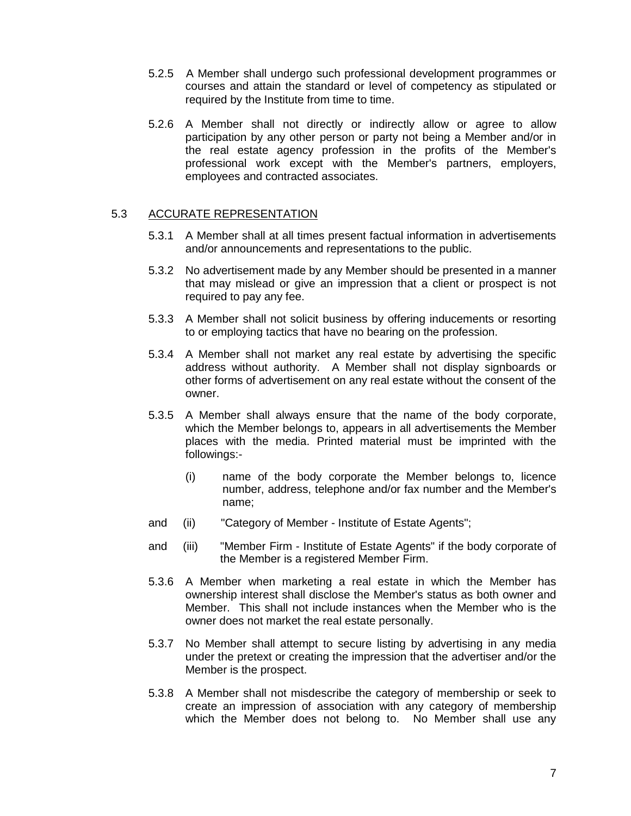- 5.2.5 A Member shall undergo such professional development programmes or courses and attain the standard or level of competency as stipulated or required by the Institute from time to time.
- 5.2.6 A Member shall not directly or indirectly allow or agree to allow participation by any other person or party not being a Member and/or in the real estate agency profession in the profits of the Member's professional work except with the Member's partners, employers, employees and contracted associates.

# 5.3 ACCURATE REPRESENTATION

- 5.3.1 A Member shall at all times present factual information in advertisements and/or announcements and representations to the public.
- 5.3.2 No advertisement made by any Member should be presented in a manner that may mislead or give an impression that a client or prospect is not required to pay any fee.
- 5.3.3 A Member shall not solicit business by offering inducements or resorting to or employing tactics that have no bearing on the profession.
- 5.3.4 A Member shall not market any real estate by advertising the specific address without authority. A Member shall not display signboards or other forms of advertisement on any real estate without the consent of the owner.
- 5.3.5 A Member shall always ensure that the name of the body corporate, which the Member belongs to, appears in all advertisements the Member places with the media. Printed material must be imprinted with the followings:-
	- (i) name of the body corporate the Member belongs to, licence number, address, telephone and/or fax number and the Member's name;
- and (ii) "Category of Member Institute of Estate Agents";
- and (iii) "Member Firm Institute of Estate Agents" if the body corporate of the Member is a registered Member Firm.
- 5.3.6 A Member when marketing a real estate in which the Member has ownership interest shall disclose the Member's status as both owner and Member. This shall not include instances when the Member who is the owner does not market the real estate personally.
- 5.3.7 No Member shall attempt to secure listing by advertising in any media under the pretext or creating the impression that the advertiser and/or the Member is the prospect.
- 5.3.8 A Member shall not misdescribe the category of membership or seek to create an impression of association with any category of membership which the Member does not belong to. No Member shall use any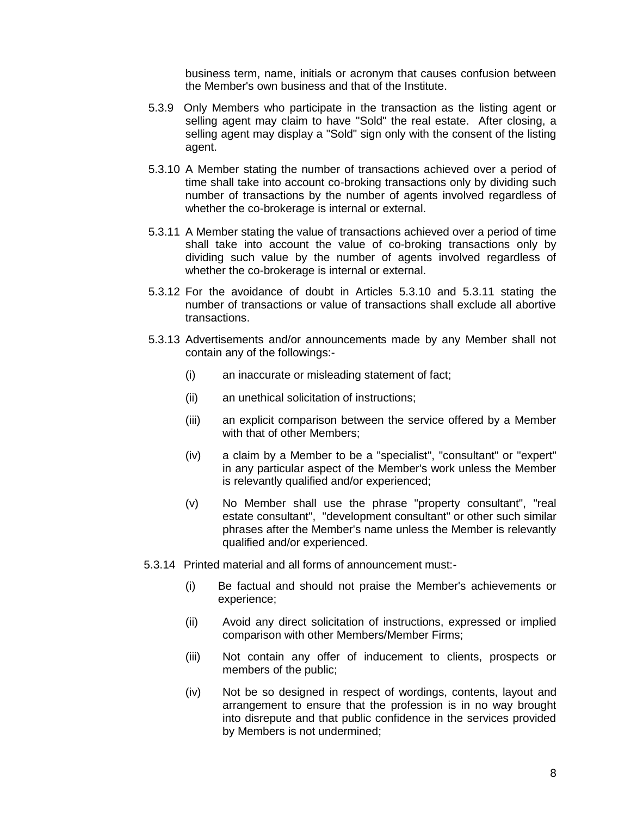business term, name, initials or acronym that causes confusion between the Member's own business and that of the Institute.

- 5.3.9 Only Members who participate in the transaction as the listing agent or selling agent may claim to have "Sold" the real estate. After closing, a selling agent may display a "Sold" sign only with the consent of the listing agent.
- 5.3.10 A Member stating the number of transactions achieved over a period of time shall take into account co-broking transactions only by dividing such number of transactions by the number of agents involved regardless of whether the co-brokerage is internal or external.
- 5.3.11 A Member stating the value of transactions achieved over a period of time shall take into account the value of co-broking transactions only by dividing such value by the number of agents involved regardless of whether the co-brokerage is internal or external.
- 5.3.12 For the avoidance of doubt in Articles 5.3.10 and 5.3.11 stating the number of transactions or value of transactions shall exclude all abortive transactions.
- 5.3.13 Advertisements and/or announcements made by any Member shall not contain any of the followings:-
	- (i) an inaccurate or misleading statement of fact;
	- (ii) an unethical solicitation of instructions;
	- (iii) an explicit comparison between the service offered by a Member with that of other Members;
	- (iv) a claim by a Member to be a "specialist", "consultant" or "expert" in any particular aspect of the Member's work unless the Member is relevantly qualified and/or experienced;
	- (v) No Member shall use the phrase "property consultant", "real estate consultant", "development consultant" or other such similar phrases after the Member's name unless the Member is relevantly qualified and/or experienced.
- 5.3.14 Printed material and all forms of announcement must:-
	- (i) Be factual and should not praise the Member's achievements or experience;
	- (ii) Avoid any direct solicitation of instructions, expressed or implied comparison with other Members/Member Firms;
	- (iii) Not contain any offer of inducement to clients, prospects or members of the public;
	- (iv) Not be so designed in respect of wordings, contents, layout and arrangement to ensure that the profession is in no way brought into disrepute and that public confidence in the services provided by Members is not undermined;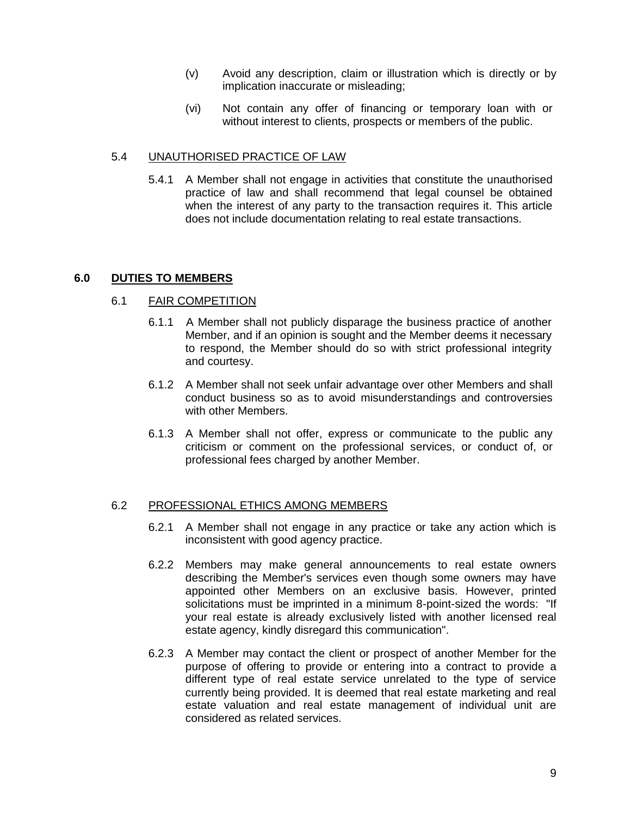- (v) Avoid any description, claim or illustration which is directly or by implication inaccurate or misleading;
- (vi) Not contain any offer of financing or temporary loan with or without interest to clients, prospects or members of the public.

# 5.4 UNAUTHORISED PRACTICE OF LAW

5.4.1 A Member shall not engage in activities that constitute the unauthorised practice of law and shall recommend that legal counsel be obtained when the interest of any party to the transaction requires it. This article does not include documentation relating to real estate transactions.

### **6.0 DUTIES TO MEMBERS**

### 6.1 FAIR COMPETITION

- 6.1.1 A Member shall not publicly disparage the business practice of another Member, and if an opinion is sought and the Member deems it necessary to respond, the Member should do so with strict professional integrity and courtesy.
- 6.1.2 A Member shall not seek unfair advantage over other Members and shall conduct business so as to avoid misunderstandings and controversies with other Members.
- 6.1.3 A Member shall not offer, express or communicate to the public any criticism or comment on the professional services, or conduct of, or professional fees charged by another Member.

### 6.2 PROFESSIONAL ETHICS AMONG MEMBERS

- 6.2.1 A Member shall not engage in any practice or take any action which is inconsistent with good agency practice.
- 6.2.2 Members may make general announcements to real estate owners describing the Member's services even though some owners may have appointed other Members on an exclusive basis. However, printed solicitations must be imprinted in a minimum 8-point-sized the words: "If your real estate is already exclusively listed with another licensed real estate agency, kindly disregard this communication".
- 6.2.3 A Member may contact the client or prospect of another Member for the purpose of offering to provide or entering into a contract to provide a different type of real estate service unrelated to the type of service currently being provided. It is deemed that real estate marketing and real estate valuation and real estate management of individual unit are considered as related services.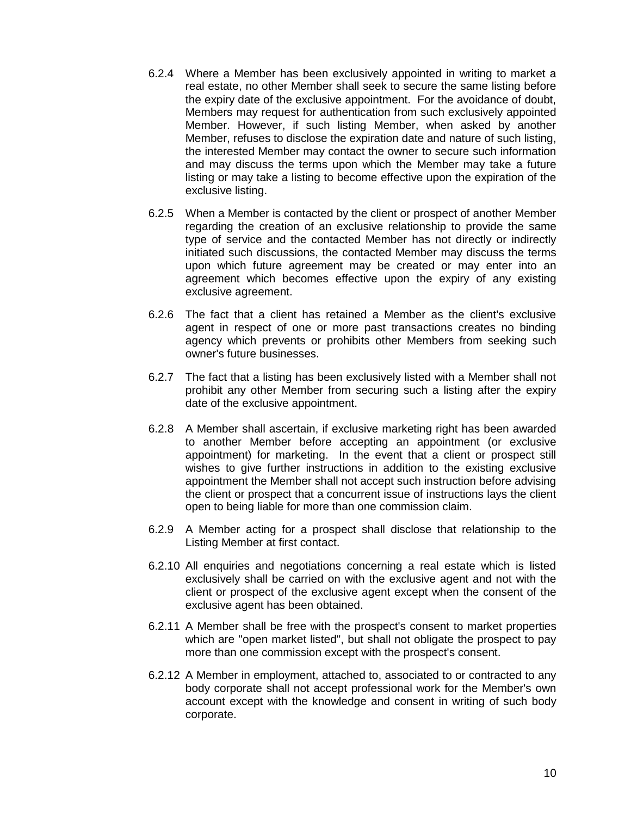- 6.2.4 Where a Member has been exclusively appointed in writing to market a real estate, no other Member shall seek to secure the same listing before the expiry date of the exclusive appointment. For the avoidance of doubt, Members may request for authentication from such exclusively appointed Member. However, if such listing Member, when asked by another Member, refuses to disclose the expiration date and nature of such listing, the interested Member may contact the owner to secure such information and may discuss the terms upon which the Member may take a future listing or may take a listing to become effective upon the expiration of the exclusive listing.
- 6.2.5 When a Member is contacted by the client or prospect of another Member regarding the creation of an exclusive relationship to provide the same type of service and the contacted Member has not directly or indirectly initiated such discussions, the contacted Member may discuss the terms upon which future agreement may be created or may enter into an agreement which becomes effective upon the expiry of any existing exclusive agreement.
- 6.2.6 The fact that a client has retained a Member as the client's exclusive agent in respect of one or more past transactions creates no binding agency which prevents or prohibits other Members from seeking such owner's future businesses.
- 6.2.7 The fact that a listing has been exclusively listed with a Member shall not prohibit any other Member from securing such a listing after the expiry date of the exclusive appointment.
- 6.2.8 A Member shall ascertain, if exclusive marketing right has been awarded to another Member before accepting an appointment (or exclusive appointment) for marketing. In the event that a client or prospect still wishes to give further instructions in addition to the existing exclusive appointment the Member shall not accept such instruction before advising the client or prospect that a concurrent issue of instructions lays the client open to being liable for more than one commission claim.
- 6.2.9 A Member acting for a prospect shall disclose that relationship to the Listing Member at first contact.
- 6.2.10 All enquiries and negotiations concerning a real estate which is listed exclusively shall be carried on with the exclusive agent and not with the client or prospect of the exclusive agent except when the consent of the exclusive agent has been obtained.
- 6.2.11 A Member shall be free with the prospect's consent to market properties which are "open market listed", but shall not obligate the prospect to pay more than one commission except with the prospect's consent.
- 6.2.12 A Member in employment, attached to, associated to or contracted to any body corporate shall not accept professional work for the Member's own account except with the knowledge and consent in writing of such body corporate.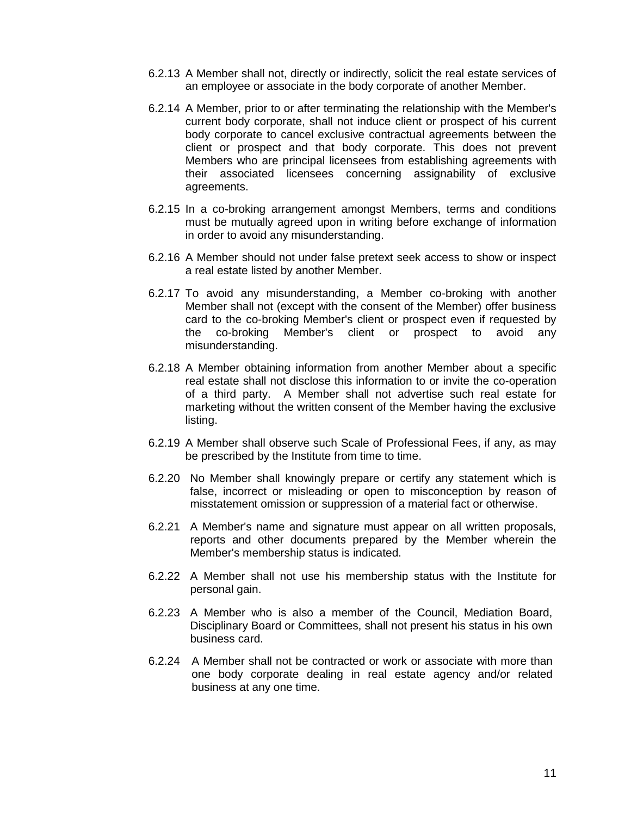- 6.2.13 A Member shall not, directly or indirectly, solicit the real estate services of an employee or associate in the body corporate of another Member.
- 6.2.14 A Member, prior to or after terminating the relationship with the Member's current body corporate, shall not induce client or prospect of his current body corporate to cancel exclusive contractual agreements between the client or prospect and that body corporate. This does not prevent Members who are principal licensees from establishing agreements with their associated licensees concerning assignability of exclusive agreements.
- 6.2.15 In a co-broking arrangement amongst Members, terms and conditions must be mutually agreed upon in writing before exchange of information in order to avoid any misunderstanding.
- 6.2.16 A Member should not under false pretext seek access to show or inspect a real estate listed by another Member.
- 6.2.17 To avoid any misunderstanding, a Member co-broking with another Member shall not (except with the consent of the Member) offer business card to the co-broking Member's client or prospect even if requested by the co-broking Member's client or prospect to avoid any misunderstanding.
- 6.2.18 A Member obtaining information from another Member about a specific real estate shall not disclose this information to or invite the co-operation of a third party. A Member shall not advertise such real estate for marketing without the written consent of the Member having the exclusive listing.
- 6.2.19 A Member shall observe such Scale of Professional Fees, if any, as may be prescribed by the Institute from time to time.
- 6.2.20 No Member shall knowingly prepare or certify any statement which is false, incorrect or misleading or open to misconception by reason of misstatement omission or suppression of a material fact or otherwise.
- 6.2.21 A Member's name and signature must appear on all written proposals, reports and other documents prepared by the Member wherein the Member's membership status is indicated.
- 6.2.22 A Member shall not use his membership status with the Institute for personal gain.
- 6.2.23 A Member who is also a member of the Council, Mediation Board, Disciplinary Board or Committees, shall not present his status in his own business card.
- 6.2.24 A Member shall not be contracted or work or associate with more than one body corporate dealing in real estate agency and/or related business at any one time.